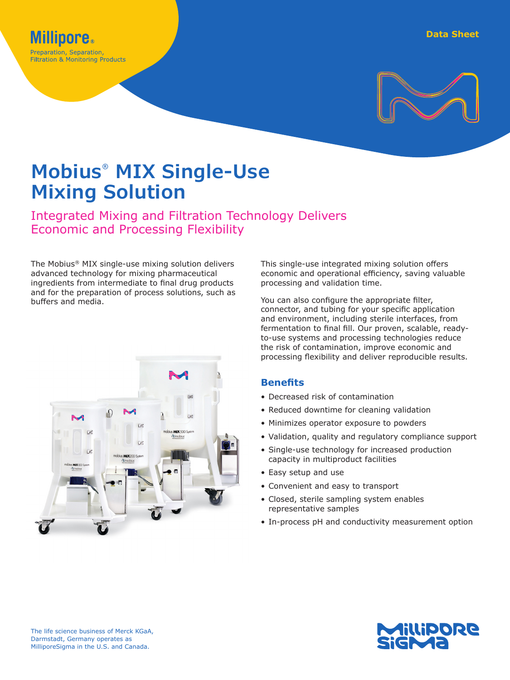

# **Mobius® MIX Single-Use Mixing Solution**

Integrated Mixing and Filtration Technology Delivers Economic and Processing Flexibility

The Mobius® MIX single-use mixing solution delivers advanced technology for mixing pharmaceutical ingredients from intermediate to final drug products and for the preparation of process solutions, such as buffers and media.



This single-use integrated mixing solution offers economic and operational efficiency, saving valuable processing and validation time.

You can also configure the appropriate filter, connector, and tubing for your specific application and environment, including sterile interfaces, from fermentation to final fill. Our proven, scalable, readyto-use systems and processing technologies reduce the risk of contamination, improve economic and processing flexibility and deliver reproducible results.

## **Benefits**

- Decreased risk of contamination
- Reduced downtime for cleaning validation
- Minimizes operator exposure to powders
- Validation, quality and regulatory compliance support
- Single-use technology for increased production capacity in multiproduct facilities
- Easy setup and use
- Convenient and easy to transport
- Closed, sterile sampling system enables representative samples
- In-process pH and conductivity measurement option

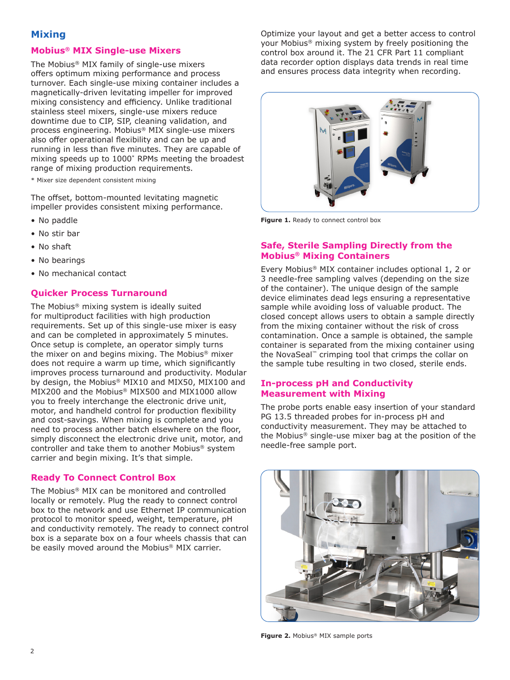# **Mixing**

#### **Mobius® MIX Single-use Mixers**

The Mobius® MIX family of single-use mixers offers optimum mixing performance and process turnover. Each single-use mixing container includes a magnetically-driven levitating impeller for improved mixing consistency and efficiency. Unlike traditional stainless steel mixers, single-use mixers reduce downtime due to CIP, SIP, cleaning validation, and process engineering. Mobius® MIX single-use mixers also offer operational flexibility and can be up and running in less than five minutes. They are capable of mixing speeds up to 1000\* RPMs meeting the broadest range of mixing production requirements.

\* Mixer size dependent consistent mixing

The offset, bottom-mounted levitating magnetic impeller provides consistent mixing performance.

- No paddle
- No stir bar
- No shaft
- No bearings
- No mechanical contact

## **Quicker Process Turnaround**

The Mobius® mixing system is ideally suited for multiproduct facilities with high production requirements. Set up of this single-use mixer is easy and can be completed in approximately 5 minutes. Once setup is complete, an operator simply turns the mixer on and begins mixing. The Mobius® mixer does not require a warm up time, which significantly improves process turnaround and productivity. Modular by design, the Mobius® MIX10 and MIX50, MIX100 and MIX200 and the Mobius® MIX500 and MIX1000 allow you to freely interchange the electronic drive unit, motor, and handheld control for production flexibility and cost-savings. When mixing is complete and you need to process another batch elsewhere on the floor, simply disconnect the electronic drive unit, motor, and controller and take them to another Mobius® system carrier and begin mixing. It's that simple.

## **Ready To Connect Control Box**

The Mobius® MIX can be monitored and controlled locally or remotely. Plug the ready to connect control box to the network and use Ethernet IP communication protocol to monitor speed, weight, temperature, pH and conductivity remotely. The ready to connect control box is a separate box on a four wheels chassis that can be easily moved around the Mobius® MIX carrier.

Optimize your layout and get a better access to control your Mobius® mixing system by freely positioning the control box around it. The 21 CFR Part 11 compliant data recorder option displays data trends in real time and ensures process data integrity when recording.



**Figure 1.** Ready to connect control box

## **Safe, Sterile Sampling Directly from the Mobius® Mixing Containers**

Every Mobius® MIX container includes optional 1, 2 or 3 needle-free sampling valves (depending on the size of the container). The unique design of the sample device eliminates dead legs ensuring a representative sample while avoiding loss of valuable product. The closed concept allows users to obtain a sample directly from the mixing container without the risk of cross contamination. Once a sample is obtained, the sample container is separated from the mixing container using the NovaSeal™ crimping tool that crimps the collar on the sample tube resulting in two closed, sterile ends.

#### **In-process pH and Conductivity Measurement with Mixing**

The probe ports enable easy insertion of your standard PG 13.5 threaded probes for in-process pH and conductivity measurement. They may be attached to the Mobius® single-use mixer bag at the position of the needle-free sample port.



**Figure 2.** Mobius® MIX sample ports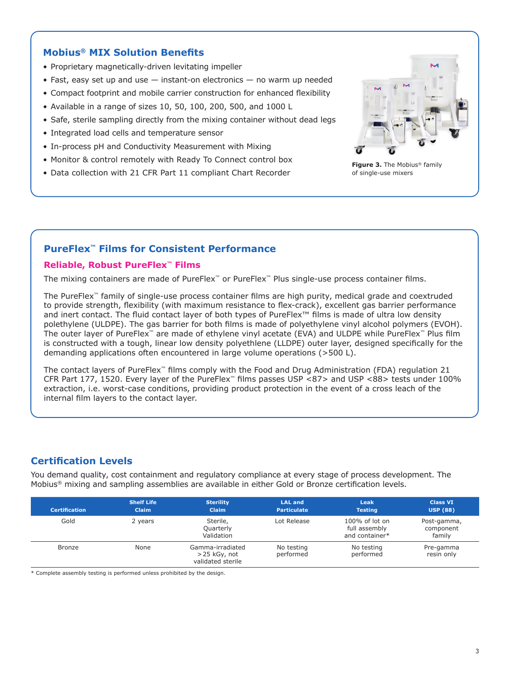# **Mobius® MIX Solution Benefits**

- Proprietary magnetically-driven levitating impeller
- Fast, easy set up and use instant-on electronics no warm up needed
- Compact footprint and mobile carrier construction for enhanced flexibility
- Available in a range of sizes 10, 50, 100, 200, 500, and 1000 L
- Safe, sterile sampling directly from the mixing container without dead legs
- Integrated load cells and temperature sensor
- In-process pH and Conductivity Measurement with Mixing
- Monitor & control remotely with Ready To Connect control box
- Data collection with 21 CFR Part 11 compliant Chart Recorder



**Figure 3.** The Mobius® family of single-use mixers

# **PureFlex™ Films for Consistent Performance**

#### **Reliable, Robust PureFlex™ Films**

The mixing containers are made of PureFlex™ or PureFlex™ Plus single-use process container films.

The PureFlex™ family of single-use process container films are high purity, medical grade and coextruded to provide strength, flexibility (with maximum resistance to flex-crack), excellent gas barrier performance and inert contact. The fluid contact layer of both types of PureFlex™ films is made of ultra low density polethylene (ULDPE). The gas barrier for both films is made of polyethylene vinyl alcohol polymers (EVOH). The outer layer of PureFlex™ are made of ethylene vinyl acetate (EVA) and ULDPE while PureFlex™ Plus film is constructed with a tough, linear low density polyethlene (LLDPE) outer layer, designed specifically for the demanding applications often encountered in large volume operations (>500 L).

The contact layers of PureFlex™ films comply with the Food and Drug Administration (FDA) regulation 21 CFR Part 177, 1520. Every layer of the PureFlex™ films passes USP <87> and USP <88> tests under 100% extraction, i.e. worst-case conditions, providing product protection in the event of a cross leach of the internal film layers to the contact layer.

# **Certification Levels**

You demand quality, cost containment and regulatory compliance at every stage of process development. The Mobius® mixing and sampling assemblies are available in either Gold or Bronze certification levels.

| <b>Certification</b> | <b>Shelf Life</b><br><b>Claim</b> | <b>Sterility</b><br><b>Claim</b>                         | <b>LAL and</b><br><b>Particulate</b> | Leak<br><b>Testing</b>                               | <b>Class VI</b><br><b>USP (88)</b> |
|----------------------|-----------------------------------|----------------------------------------------------------|--------------------------------------|------------------------------------------------------|------------------------------------|
| Gold                 | 2 years                           | Sterile,<br>Quarterly<br>Validation                      | Lot Release                          | $100\%$ of lot on<br>full assembly<br>and container* | Post-gamma,<br>component<br>family |
| <b>Bronze</b>        | None                              | Gamma-irradiated<br>$>$ 25 kGy, not<br>validated sterile | No testing<br>performed              | No testing<br>performed                              | Pre-gamma<br>resin only            |

\* Complete assembly testing is performed unless prohibited by the design.